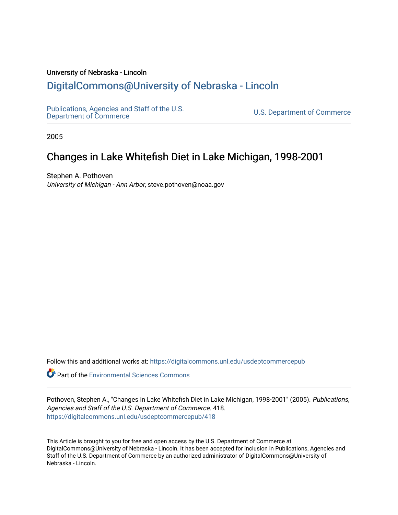#### University of Nebraska - Lincoln

## [DigitalCommons@University of Nebraska - Lincoln](https://digitalcommons.unl.edu/)

[Publications, Agencies and Staff of the U.S.](https://digitalcommons.unl.edu/usdeptcommercepub)

U.S. [Department of Commerce](https://digitalcommons.unl.edu/usdeptcommercepub)

2005

# Changes in Lake Whitefish Diet in Lake Michigan, 1998-2001

Stephen A. Pothoven University of Michigan - Ann Arbor, steve.pothoven@noaa.gov

Follow this and additional works at: [https://digitalcommons.unl.edu/usdeptcommercepub](https://digitalcommons.unl.edu/usdeptcommercepub?utm_source=digitalcommons.unl.edu%2Fusdeptcommercepub%2F418&utm_medium=PDF&utm_campaign=PDFCoverPages)

**Part of the [Environmental Sciences Commons](http://network.bepress.com/hgg/discipline/167?utm_source=digitalcommons.unl.edu%2Fusdeptcommercepub%2F418&utm_medium=PDF&utm_campaign=PDFCoverPages)** 

Pothoven, Stephen A., "Changes in Lake Whitefish Diet in Lake Michigan, 1998-2001" (2005). Publications, Agencies and Staff of the U.S. Department of Commerce. 418. [https://digitalcommons.unl.edu/usdeptcommercepub/418](https://digitalcommons.unl.edu/usdeptcommercepub/418?utm_source=digitalcommons.unl.edu%2Fusdeptcommercepub%2F418&utm_medium=PDF&utm_campaign=PDFCoverPages) 

This Article is brought to you for free and open access by the U.S. Department of Commerce at DigitalCommons@University of Nebraska - Lincoln. It has been accepted for inclusion in Publications, Agencies and Staff of the U.S. Department of Commerce by an authorized administrator of DigitalCommons@University of Nebraska - Lincoln.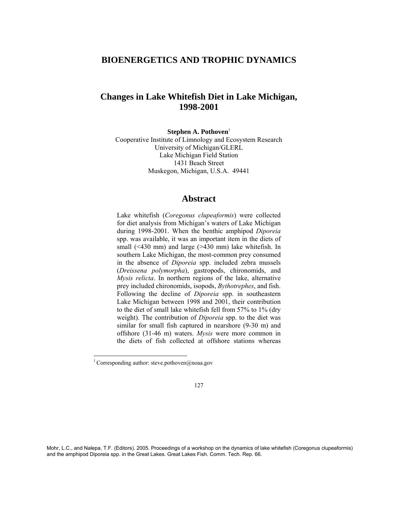## **BIOENERGETICS AND TROPHIC DYNAMICS**

## **Changes in Lake Whitefish Diet in Lake Michigan, 1998-2001**

**Stephen A. Pothoven**<sup>1</sup>

Cooperative Institute of Limnology and Ecosystem Research University of Michigan/GLERL Lake Michigan Field Station 1431 Beach Street Muskegon, Michigan, U.S.A. 49441

### **Abstract**

Lake whitefish (*Coregonus clupeaformis*) were collected for diet analysis from Michigan's waters of Lake Michigan during 1998-2001. When the benthic amphipod *Diporeia*  spp. was available, it was an important item in the diets of small (<430 mm) and large (>430 mm) lake whitefish. In southern Lake Michigan, the most-common prey consumed in the absence of *Diporeia* spp. included zebra mussels (*Dreissena polymorpha*), gastropods, chironomids, and *Mysis relicta*. In northern regions of the lake, alternative prey included chironomids, isopods, *Bythotrephes*, and fish. Following the decline of *Diporeia* spp. in southeastern Lake Michigan between 1998 and 2001, their contribution to the diet of small lake whitefish fell from 57% to 1% (dry weight). The contribution of *Diporeia* spp. to the diet was similar for small fish captured in nearshore (9-30 m) and offshore (31-46 m) waters. *Mysis* were more common in the diets of fish collected at offshore stations whereas

 $\overline{a}$ 

Mohr, L.C., and Nalepa, T.F. (Editors). 2005. Proceedings of a workshop on the dynamics of lake whitefish (Coregonus clupeaformis) and the amphipod Diporeia spp. in the Great Lakes. Great Lakes Fish. Comm. Tech. Rep. 66.

<sup>&</sup>lt;sup>1</sup> Corresponding author: steve.pothoven@noaa.gov

<sup>127</sup>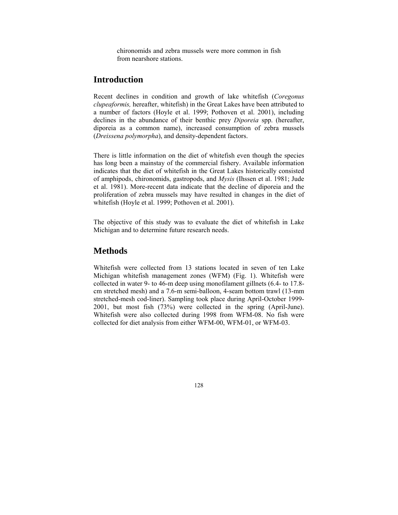chironomids and zebra mussels were more common in fish from nearshore stations.

## **Introduction**

Recent declines in condition and growth of lake whitefish (*Coregonus clupeaformis,* hereafter, whitefish) in the Great Lakes have been attributed to a number of factors (Hoyle et al. 1999; Pothoven et al. 2001), including declines in the abundance of their benthic prey *Diporeia* spp. (hereafter, diporeia as a common name), increased consumption of zebra mussels (*Dreissena polymorpha*), and density-dependent factors.

There is little information on the diet of whitefish even though the species has long been a mainstay of the commercial fishery. Available information indicates that the diet of whitefish in the Great Lakes historically consisted of amphipods, chironomids, gastropods, and *Mysis* (Ihssen et al. 1981; Jude et al. 1981). More-recent data indicate that the decline of diporeia and the proliferation of zebra mussels may have resulted in changes in the diet of whitefish (Hoyle et al. 1999; Pothoven et al. 2001).

The objective of this study was to evaluate the diet of whitefish in Lake Michigan and to determine future research needs.

#### **Methods**

Whitefish were collected from 13 stations located in seven of ten Lake Michigan whitefish management zones (WFM) (Fig. 1). Whitefish were collected in water 9- to 46-m deep using monofilament gillnets (6.4- to 17.8 cm stretched mesh) and a 7.6-m semi-balloon, 4-seam bottom trawl (13-mm stretched-mesh cod-liner). Sampling took place during April-October 1999- 2001, but most fish (73%) were collected in the spring (April-June). Whitefish were also collected during 1998 from WFM-08. No fish were collected for diet analysis from either WFM-00, WFM-01, or WFM-03.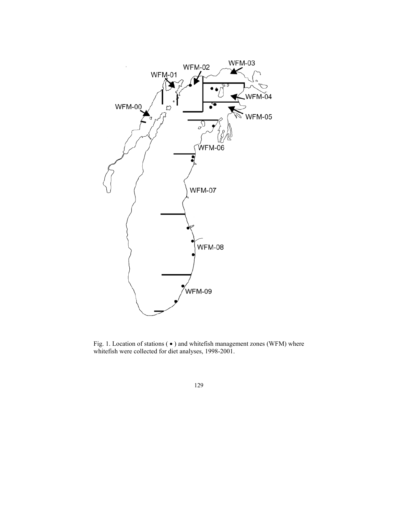

Fig. 1. Location of stations ( • ) and whitefish management zones (WFM) where whitefish were collected for diet analyses, 1998-2001.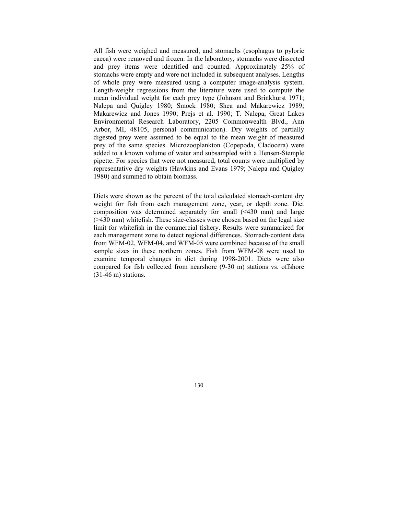All fish were weighed and measured, and stomachs (esophagus to pyloric caeca) were removed and frozen. In the laboratory, stomachs were dissected and prey items were identified and counted. Approximately 25% of stomachs were empty and were not included in subsequent analyses. Lengths of whole prey were measured using a computer image-analysis system. Length-weight regressions from the literature were used to compute the mean individual weight for each prey type (Johnson and Brinkhurst 1971; Nalepa and Quigley 1980; Smock 1980; Shea and Makarewicz 1989; Makarewicz and Jones 1990; Prejs et al. 1990; T. Nalepa, Great Lakes Environmental Research Laboratory, 2205 Commonwealth Blvd., Ann Arbor, MI, 48105, personal communication). Dry weights of partially digested prey were assumed to be equal to the mean weight of measured prey of the same species. Microzooplankton (Copepoda, Cladocera) were added to a known volume of water and subsampled with a Hensen-Stemple pipette. For species that were not measured, total counts were multiplied by representative dry weights (Hawkins and Evans 1979; Nalepa and Quigley 1980) and summed to obtain biomass.

Diets were shown as the percent of the total calculated stomach-content dry weight for fish from each management zone, year, or depth zone. Diet composition was determined separately for small (<430 mm) and large (>430 mm) whitefish. These size-classes were chosen based on the legal size limit for whitefish in the commercial fishery. Results were summarized for each management zone to detect regional differences. Stomach-content data from WFM-02, WFM-04, and WFM-05 were combined because of the small sample sizes in these northern zones. Fish from WFM-08 were used to examine temporal changes in diet during 1998-2001. Diets were also compared for fish collected from nearshore (9-30 m) stations vs. offshore (31-46 m) stations.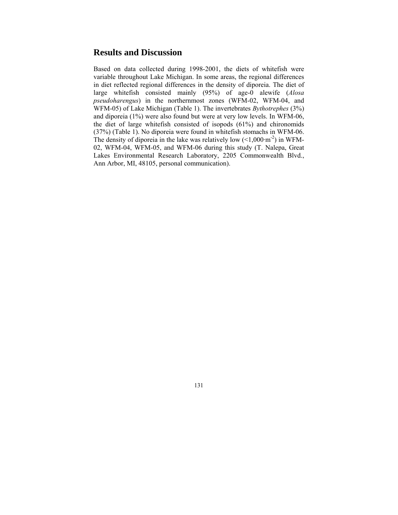## **Results and Discussion**

Based on data collected during 1998-2001, the diets of whitefish were variable throughout Lake Michigan. In some areas, the regional differences in diet reflected regional differences in the density of diporeia. The diet of large whitefish consisted mainly (95%) of age-0 alewife (*Alosa pseudoharengus*) in the northernmost zones (WFM-02, WFM-04, and WFM-05) of Lake Michigan (Table 1). The invertebrates *Bythotrephes* (3%) and diporeia (1%) were also found but were at very low levels. In WFM-06, the diet of large whitefish consisted of isopods (61%) and chironomids (37%) (Table 1). No diporeia were found in whitefish stomachs in WFM-06. The density of diporeia in the lake was relatively low  $(<1,000 \text{ m}^2)$  in WFM-02, WFM-04, WFM-05, and WFM-06 during this study (T. Nalepa, Great Lakes Environmental Research Laboratory, 2205 Commonwealth Blvd., Ann Arbor, MI, 48105, personal communication).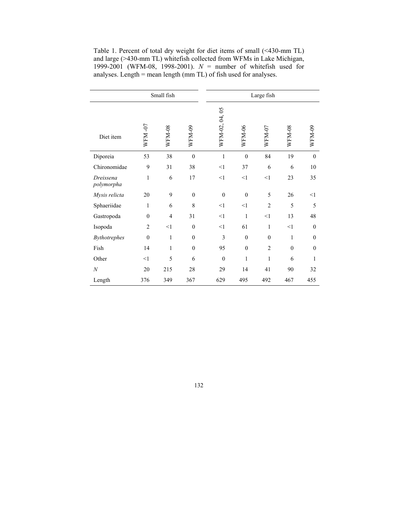| Small fish              |                |               |                  | Large fish     |              |                |               |              |
|-------------------------|----------------|---------------|------------------|----------------|--------------|----------------|---------------|--------------|
| Diet item               | WFM-07         | <b>WFM-08</b> | WFM-09           | WFM-02, 04, 05 | WFM-06       | WFM-07         | <b>WFM-08</b> | WFM-09       |
| Diporeia                | 53             | 38            | $\boldsymbol{0}$ | $\mathbf{1}$   | $\mathbf{0}$ | 84             | 19            | $\mathbf{0}$ |
| Chironomidae            | 9              | 31            | 38               | <1             | 37           | 6              | 6             | 10           |
| Dreissena<br>polymorpha | $\mathbf{1}$   | 6             | 17               | <1             | <1           | <1             | 23            | 35           |
| Mysis relicta           | 20             | 9             | $\mathbf{0}$     | $\mathbf{0}$   | $\mathbf{0}$ | 5              | 26            | <1           |
| Sphaeriidae             | $\mathbf{1}$   | 6             | 8                | <1             | <1           | $\overline{2}$ | 5             | 5            |
| Gastropoda              | $\mathbf{0}$   | 4             | 31               | <1             | 1            | <1             | 13            | 48           |
| Isopoda                 | $\overline{2}$ | <1            | $\boldsymbol{0}$ | <1             | 61           | $\mathbf{1}$   | <1            | $\mathbf{0}$ |
| Bythotrephes            | $\mathbf{0}$   | $\mathbf{1}$  | $\mathbf{0}$     | 3              | $\mathbf{0}$ | $\mathbf{0}$   | $\mathbf{1}$  | $\mathbf{0}$ |
| Fish                    | 14             | $\mathbf{1}$  | $\boldsymbol{0}$ | 95             | $\mathbf{0}$ | $\overline{2}$ | $\mathbf{0}$  | $\theta$     |
| Other                   | <1             | 5             | 6                | $\overline{0}$ | $\mathbf{1}$ | 1              | 6             | 1            |
| $\boldsymbol{N}$        | 20             | 215           | 28               | 29             | 14           | 41             | 90            | 32           |
| Length                  | 376            | 349           | 367              | 629            | 495          | 492            | 467           | 455          |

Table 1. Percent of total dry weight for diet items of small (<430-mm TL) and large (>430-mm TL) whitefish collected from WFMs in Lake Michigan, 1999-2001 (WFM-08, 1998-2001). *N* = number of whitefish used for analyses. Length = mean length (mm TL) of fish used for analyses.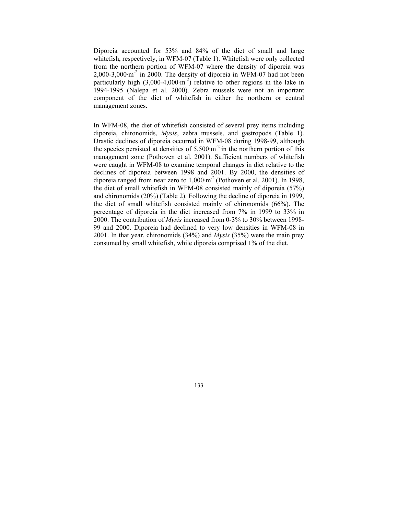Diporeia accounted for 53% and 84% of the diet of small and large whitefish, respectively, in WFM-07 (Table 1). Whitefish were only collected from the northern portion of WFM-07 where the density of diporeia was  $2,000-3,000 \cdot m^{-2}$  in 2000. The density of diporeia in WFM-07 had not been particularly high  $(3,000-4,000 \text{ m}^2)$  relative to other regions in the lake in 1994-1995 (Nalepa et al. 2000). Zebra mussels were not an important component of the diet of whitefish in either the northern or central management zones.

In WFM-08, the diet of whitefish consisted of several prey items including diporeia, chironomids, *Mysis*, zebra mussels, and gastropods (Table 1). Drastic declines of diporeia occurred in WFM-08 during 1998-99, although the species persisted at densities of  $5,500 \text{ m}^2$  in the northern portion of this management zone (Pothoven et al. 2001). Sufficient numbers of whitefish were caught in WFM-08 to examine temporal changes in diet relative to the declines of diporeia between 1998 and 2001. By 2000, the densities of diporeia ranged from near zero to  $1,000 \text{ m}^{-2}$  (Pothoven et al. 2001). In 1998, the diet of small whitefish in WFM-08 consisted mainly of diporeia (57%) and chironomids (20%) (Table 2). Following the decline of diporeia in 1999, the diet of small whitefish consisted mainly of chironomids (66%). The percentage of diporeia in the diet increased from 7% in 1999 to 33% in 2000. The contribution of *Mysis* increased from 0-3% to 30% between 1998- 99 and 2000. Diporeia had declined to very low densities in WFM-08 in 2001. In that year, chironomids (34%) and *Mysis* (35%) were the main prey consumed by small whitefish, while diporeia comprised 1% of the diet.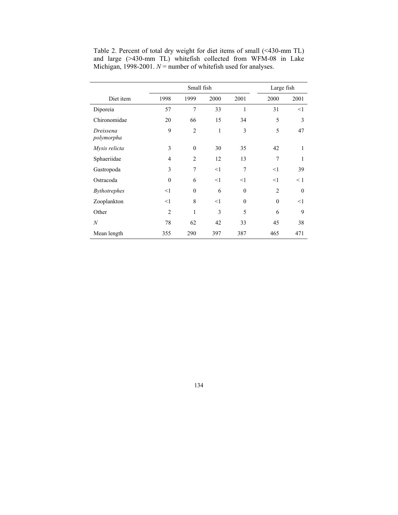|                         | Small fish     |                  |              |              | Large fish     |              |
|-------------------------|----------------|------------------|--------------|--------------|----------------|--------------|
| Diet item               | 1998           | 1999             | 2000         | 2001         | 2000           | 2001         |
| Diporeia                | 57             | 7                | 33           | 1            | 31             | $<$ 1        |
| Chironomidae            | 20             | 66               | 15           | 34           | 5              | 3            |
| Dreissena<br>polymorpha | 9              | $\overline{2}$   | $\mathbf{1}$ | 3            | 5              | 47           |
| Mysis relicta           | 3              | $\boldsymbol{0}$ | 30           | 35           | 42             | $\mathbf{1}$ |
| Sphaeriidae             | 4              | $\overline{2}$   | 12           | 13           | $\overline{7}$ | 1            |
| Gastropoda              | 3              | 7                | <1           | 7            | $\leq$ 1       | 39           |
| Ostracoda               | $\Omega$       | 6                | <1           | <1           | <1             | $\leq 1$     |
| <b>Bythotrephes</b>     | <1             | $\mathbf{0}$     | 6            | $\mathbf{0}$ | $\overline{c}$ | $\mathbf{0}$ |
| Zooplankton             | <1             | 8                | <1           | $\theta$     | $\mathbf{0}$   | $<$ 1        |
| Other                   | $\overline{2}$ | $\mathbf{1}$     | 3            | 5            | 6              | 9            |
| $\boldsymbol{N}$        | 78             | 62               | 42           | 33           | 45             | 38           |
| Mean length             | 355            | 290              | 397          | 387          | 465            | 471          |

Table 2. Percent of total dry weight for diet items of small (<430-mm TL) and large (>430-mm TL) whitefish collected from WFM-08 in Lake Michigan, 1998-2001.  $N =$  number of whitefish used for analyses.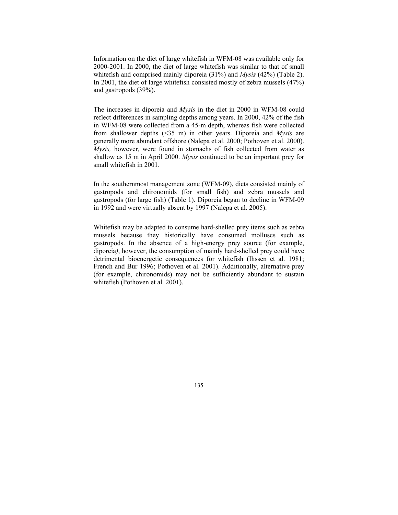Information on the diet of large whitefish in WFM-08 was available only for 2000-2001. In 2000, the diet of large whitefish was similar to that of small whitefish and comprised mainly diporeia (31%) and *Mysis* (42%) (Table 2). In 2001, the diet of large whitefish consisted mostly of zebra mussels (47%) and gastropods (39%).

The increases in diporeia and *Mysis* in the diet in 2000 in WFM-08 could reflect differences in sampling depths among years. In 2000, 42% of the fish in WFM-08 were collected from a 45-m depth, whereas fish were collected from shallower depths (<35 m) in other years. Diporeia and *Mysis* are generally more abundant offshore (Nalepa et al. 2000; Pothoven et al. 2000). *Mysis,* however*,* were found in stomachs of fish collected from water as shallow as 15 m in April 2000. *Mysis* continued to be an important prey for small whitefish in 2001.

In the southernmost management zone (WFM-09), diets consisted mainly of gastropods and chironomids (for small fish) and zebra mussels and gastropods (for large fish) (Table 1). Diporeia began to decline in WFM-09 in 1992 and were virtually absent by 1997 (Nalepa et al. 2005).

Whitefish may be adapted to consume hard-shelled prey items such as zebra mussels because they historically have consumed molluscs such as gastropods. In the absence of a high-energy prey source (for example, diporeia*)*, however, the consumption of mainly hard-shelled prey could have detrimental bioenergetic consequences for whitefish (Ihssen et al. 1981; French and Bur 1996; Pothoven et al. 2001). Additionally, alternative prey (for example, chironomids) may not be sufficiently abundant to sustain whitefish (Pothoven et al. 2001).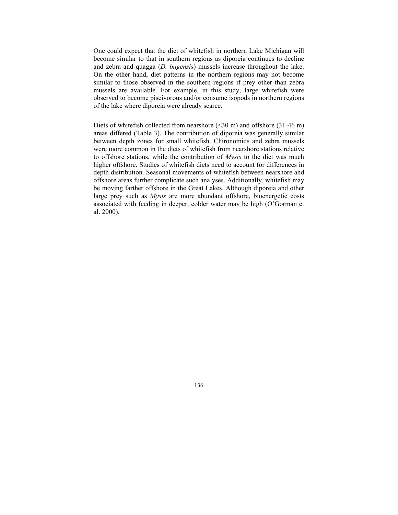One could expect that the diet of whitefish in northern Lake Michigan will become similar to that in southern regions as diporeia continues to decline and zebra and quagga (*D. bugensis*) mussels increase throughout the lake. On the other hand, diet patterns in the northern regions may not become similar to those observed in the southern regions if prey other than zebra mussels are available. For example, in this study, large whitefish were observed to become piscivorous and/or consume isopods in northern regions of the lake where diporeia were already scarce.

Diets of whitefish collected from nearshore  $(\leq 30 \text{ m})$  and offshore  $(31-46 \text{ m})$ areas differed (Table 3). The contribution of diporeia was generally similar between depth zones for small whitefish. Chironomids and zebra mussels were more common in the diets of whitefish from nearshore stations relative to offshore stations, while the contribution of *Mysis* to the diet was much higher offshore. Studies of whitefish diets need to account for differences in depth distribution. Seasonal movements of whitefish between nearshore and offshore areas further complicate such analyses. Additionally, whitefish may be moving farther offshore in the Great Lakes. Although diporeia and other large prey such as *Mysis* are more abundant offshore, bioenergetic costs associated with feeding in deeper, colder water may be high (O'Gorman et al. 2000).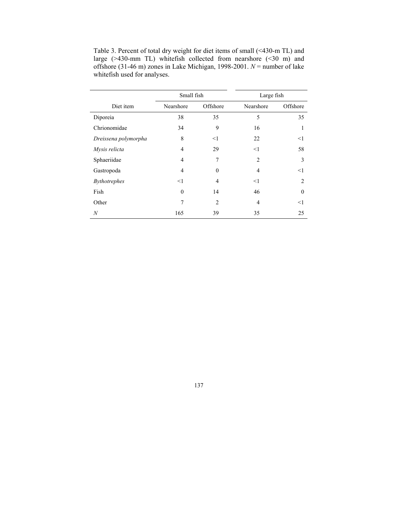|                      | Small fish |                | Large fish |                |  |
|----------------------|------------|----------------|------------|----------------|--|
| Diet item            | Nearshore  | Offshore       | Nearshore  | Offshore       |  |
| Diporeia             | 38         | 35             | 5          | 35             |  |
| Chrionomidae         | 34         | 9              | 16         | 1              |  |
| Dreissena polymorpha | 8          | <1             | 22         | $\leq$ 1       |  |
| Mysis relicta        | 4          | 29             | $<$ 1      | 58             |  |
| Sphaeriidae          | 4          | 7              | 2          | 3              |  |
| Gastropoda           | 4          | $\theta$       | 4          | $<$ 1          |  |
| <b>Bythotrephes</b>  | $<$ 1      | $\overline{4}$ | $<$ 1      | $\mathfrak{D}$ |  |
| Fish                 | $\theta$   | 14             | 46         | $\theta$       |  |
| Other                | 7          | $\overline{2}$ | 4          | $<$ 1          |  |
| N                    | 165        | 39             | 35         | 25             |  |

Table 3. Percent of total dry weight for diet items of small (<430-m TL) and large (>430-mm TL) whitefish collected from nearshore (<30 m) and offshore (31-46 m) zones in Lake Michigan, 1998-2001. *N* = number of lake whitefish used for analyses.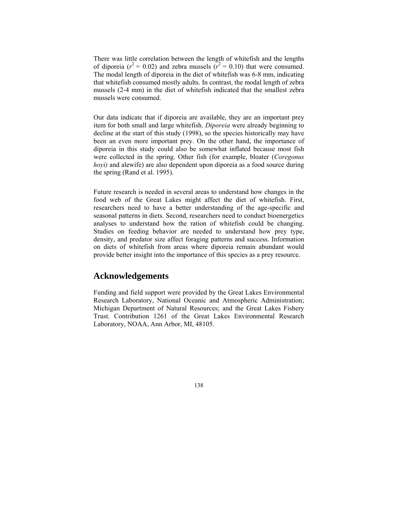There was little correlation between the length of whitefish and the lengths of diporeia ( $r^2 = 0.02$ ) and zebra mussels ( $r^2 = 0.10$ ) that were consumed. The modal length of diporeia in the diet of whitefish was 6-8 mm, indicating that whitefish consumed mostly adults. In contrast, the modal length of zebra mussels (2-4 mm) in the diet of whitefish indicated that the smallest zebra mussels were consumed.

Our data indicate that if diporeia are available, they are an important prey item for both small and large whitefish. *Diporeia* were already beginning to decline at the start of this study (1998), so the species historically may have been an even more important prey. On the other hand, the importance of diporeia in this study could also be somewhat inflated because most fish were collected in the spring. Other fish (for example, bloater (*Coregonus hoyi)* and alewife) are also dependent upon diporeia as a food source during the spring (Rand et al. 1995).

Future research is needed in several areas to understand how changes in the food web of the Great Lakes might affect the diet of whitefish. First, researchers need to have a better understanding of the age-specific and seasonal patterns in diets. Second, researchers need to conduct bioenergetics analyses to understand how the ration of whitefish could be changing. Studies on feeding behavior are needed to understand how prey type, density, and predator size affect foraging patterns and success. Information on diets of whitefish from areas where diporeia remain abundant would provide better insight into the importance of this species as a prey resource.

#### **Acknowledgements**

Funding and field support were provided by the Great Lakes Environmental Research Laboratory, National Oceanic and Atmospheric Administration; Michigan Department of Natural Resources; and the Great Lakes Fishery Trust. Contribution 1261 of the Great Lakes Environmental Research Laboratory, NOAA, Ann Arbor, MI, 48105.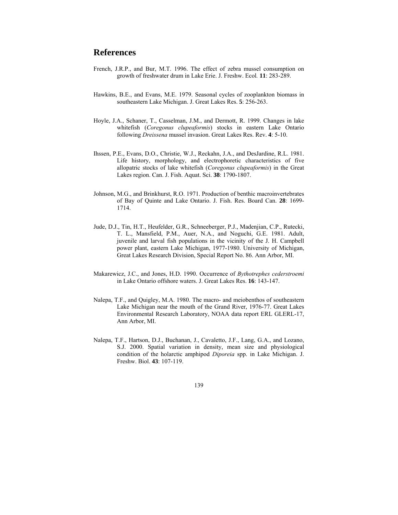#### **References**

- French, J.R.P., and Bur, M.T. 1996. The effect of zebra mussel consumption on growth of freshwater drum in Lake Erie. J. Freshw. Ecol*.* **11**: 283-289.
- Hawkins, B.E., and Evans, M.E. 1979. Seasonal cycles of zooplankton biomass in southeastern Lake Michigan. J. Great Lakes Res. **5**: 256-263.
- Hoyle, J.A., Schaner, T., Casselman, J.M., and Dermott, R. 1999. Changes in lake whitefish (*Coregonus clupeaformis*) stocks in eastern Lake Ontario following *Dreissena* mussel invasion. Great Lakes Res. Rev. **4**: 5-10.
- Ihssen, P.E., Evans, D.O., Christie, W.J., Reckahn, J.A., and DesJardine, R.L. 1981. Life history, morphology, and electrophoretic characteristics of five allopatric stocks of lake whitefish (*Coregonus clupeaformis*) in the Great Lakes region. Can. J. Fish. Aquat. Sci. **38**: 1790-1807.
- Johnson, M.G., and Brinkhurst, R.O. 1971. Production of benthic macroinvertebrates of Bay of Quinte and Lake Ontario. J. Fish. Res. Board Can. **28**: 1699- 1714.
- Jude, D.J., Tin, H.T., Heufelder, G.R., Schneeberger, P.J., Madenjian, C.P., Rutecki, T. L., Mansfield, P.M., Auer, N.A., and Noguchi, G.E. 1981. Adult, juvenile and larval fish populations in the vicinity of the J. H. Campbell power plant, eastern Lake Michigan, 1977-1980. University of Michigan, Great Lakes Research Division, Special Report No. 86. Ann Arbor, MI.
- Makarewicz, J.C., and Jones, H.D. 1990. Occurrence of *Bythotrephes cederstroemi* in Lake Ontario offshore waters. J. Great Lakes Res. **16**: 143-147.
- Nalepa, T.F., and Quigley, M.A. 1980. The macro- and meiobenthos of southeastern Lake Michigan near the mouth of the Grand River, 1976-77. Great Lakes Environmental Research Laboratory, NOAA data report ERL GLERL-17, Ann Arbor, MI.
- Nalepa, T.F., Hartson, D.J., Buchanan, J., Cavaletto, J.F., Lang, G.A., and Lozano, S.J. 2000. Spatial variation in density, mean size and physiological condition of the holarctic amphipod *Diporeia* spp. in Lake Michigan. J. Freshw. Biol. **43**: 107-119.